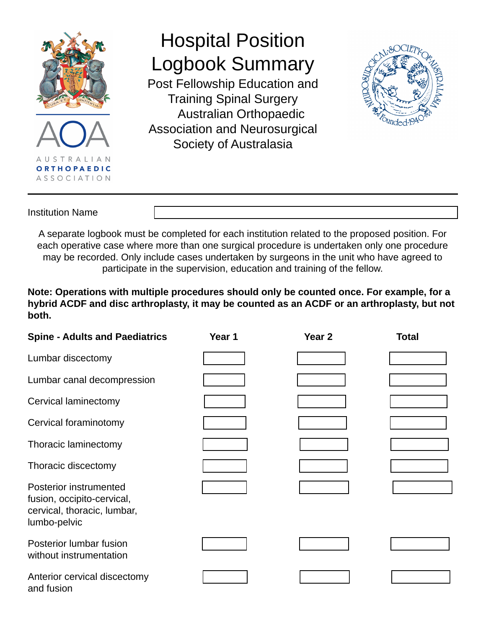

## Hospital Position Logbook Summary

Post Fellowship Education and Training Spinal Surgery Australian Orthopaedic Association and Neurosurgical Society of Australasia



## Institution Name

A separate logbook must be completed for each institution related to the proposed position. For each operative case where more than one surgical procedure is undertaken only one procedure may be recorded. Only include cases undertaken by surgeons in the unit who have agreed to participate in the supervision, education and training of the fellow.

**Note: Operations with multiple procedures should only be counted once. For example, for a hybrid ACDF and disc arthroplasty, it may be counted as an ACDF or an arthroplasty, but not both.**

| <b>Spine - Adults and Paediatrics</b>                                                               | Year 1 | Year <sub>2</sub> | <b>Total</b> |
|-----------------------------------------------------------------------------------------------------|--------|-------------------|--------------|
| Lumbar discectomy                                                                                   |        |                   |              |
| Lumbar canal decompression                                                                          |        |                   |              |
| Cervical laminectomy                                                                                |        |                   |              |
| Cervical foraminotomy                                                                               |        |                   |              |
| Thoracic laminectomy                                                                                |        |                   |              |
| Thoracic discectomy                                                                                 |        |                   |              |
| Posterior instrumented<br>fusion, occipito-cervical,<br>cervical, thoracic, lumbar,<br>lumbo-pelvic |        |                   |              |
| Posterior lumbar fusion<br>without instrumentation                                                  |        |                   |              |
| Anterior cervical discectomy<br>and fusion                                                          |        |                   |              |